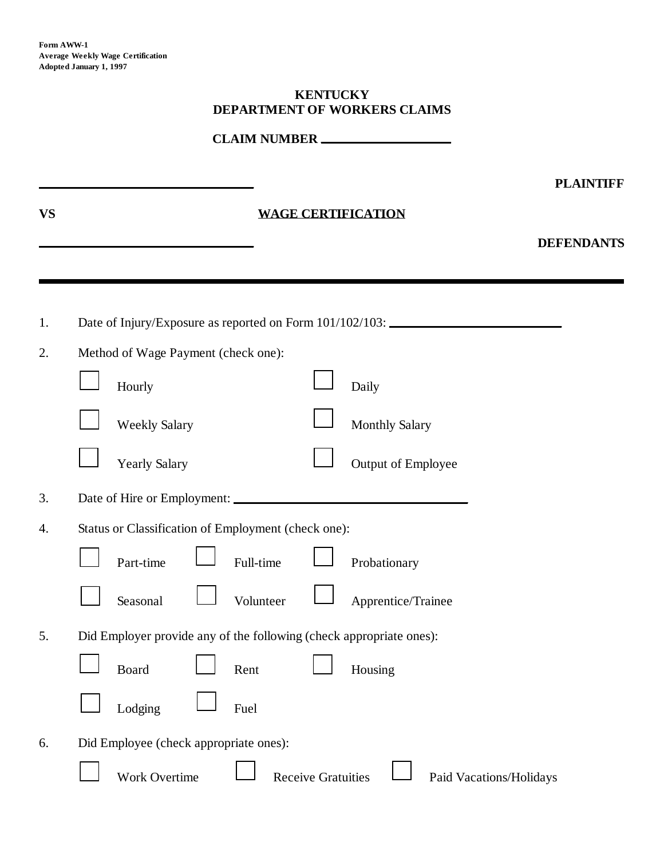#### **KENTUCKY DEPARTMENT OF WORKERS CLAIMS**

**CLAIM NUMBER** 

|           |                                                                                   |                           |                           | <b>PLAINTIFF</b>        |
|-----------|-----------------------------------------------------------------------------------|---------------------------|---------------------------|-------------------------|
| <b>VS</b> |                                                                                   |                           | <b>WAGE CERTIFICATION</b> |                         |
|           |                                                                                   |                           |                           | <b>DEFENDANTS</b>       |
|           |                                                                                   |                           |                           |                         |
| 1.        | Date of Injury/Exposure as reported on Form 101/102/103: ________________________ |                           |                           |                         |
| 2.        | Method of Wage Payment (check one):                                               |                           |                           |                         |
|           | Hourly                                                                            |                           | Daily                     |                         |
|           | <b>Weekly Salary</b>                                                              |                           | <b>Monthly Salary</b>     |                         |
|           | <b>Yearly Salary</b>                                                              |                           | Output of Employee        |                         |
| 3.        |                                                                                   |                           |                           |                         |
| 4.        | Status or Classification of Employment (check one):                               |                           |                           |                         |
|           | Part-time                                                                         | Full-time                 | Probationary              |                         |
|           | Seasonal                                                                          | Volunteer                 | Apprentice/Trainee        |                         |
| 5.        | Did Employer provide any of the following (check appropriate ones):               |                           |                           |                         |
|           | <b>Board</b>                                                                      | Rent                      | Housing                   |                         |
|           | Lodging                                                                           | Fuel                      |                           |                         |
| 6.        | Did Employee (check appropriate ones):                                            |                           |                           |                         |
|           | Work Overtime                                                                     | <b>Receive Gratuities</b> |                           | Paid Vacations/Holidays |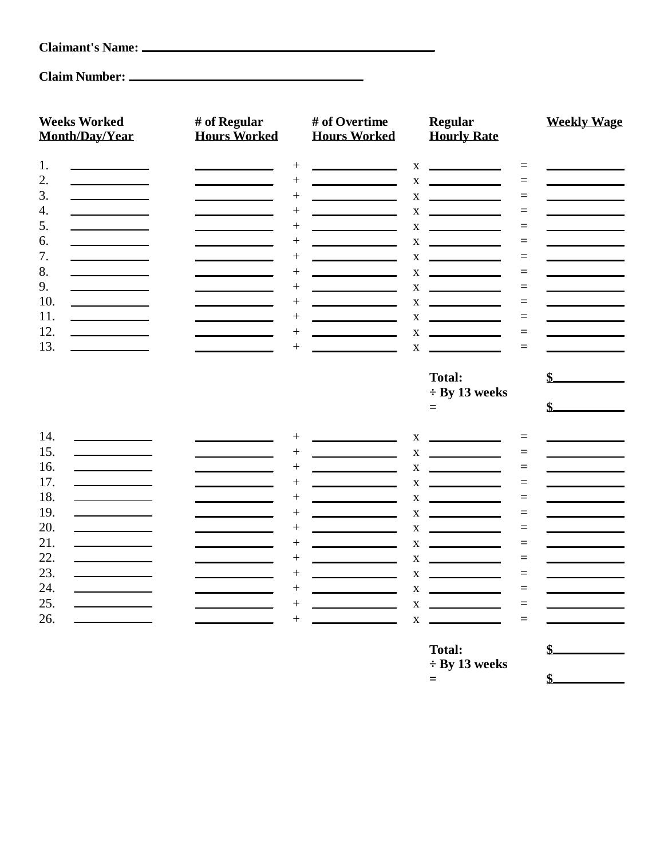| <b>Claimant's Name:</b> |  |
|-------------------------|--|
|-------------------------|--|

## **Claim Number:**

| <b>Weeks Worked</b><br><b>Month/Day/Year</b>                                                                                                                                                                                                                                                                                                                                                                                                                 | # of Regular<br><b>Hours Worked</b> |                | # of Overtime<br><b>Hours Worked</b>      |              | <b>Regular</b><br><b>Hourly Rate</b>                                                                                                                                                                                                                                                                 | <b>Weekly Wage</b> |
|--------------------------------------------------------------------------------------------------------------------------------------------------------------------------------------------------------------------------------------------------------------------------------------------------------------------------------------------------------------------------------------------------------------------------------------------------------------|-------------------------------------|----------------|-------------------------------------------|--------------|------------------------------------------------------------------------------------------------------------------------------------------------------------------------------------------------------------------------------------------------------------------------------------------------------|--------------------|
| 1.<br>$\label{eq:2.1} \frac{1}{\sqrt{2}}\left(\frac{1}{\sqrt{2}}\right)^{2} \left(\frac{1}{\sqrt{2}}\right)^{2} \left(\frac{1}{\sqrt{2}}\right)^{2} \left(\frac{1}{\sqrt{2}}\right)^{2} \left(\frac{1}{\sqrt{2}}\right)^{2} \left(\frac{1}{\sqrt{2}}\right)^{2} \left(\frac{1}{\sqrt{2}}\right)^{2} \left(\frac{1}{\sqrt{2}}\right)^{2} \left(\frac{1}{\sqrt{2}}\right)^{2} \left(\frac{1}{\sqrt{2}}\right)^{2} \left(\frac{1}{\sqrt{2}}\right)^{2} \left(\$ |                                     | $^{+}$         |                                           | X            |                                                                                                                                                                                                                                                                                                      | $\equiv$           |
| 2.<br><u> 1980 - Johann Barbara, martxa a</u>                                                                                                                                                                                                                                                                                                                                                                                                                |                                     | $^{+}$         |                                           | X            | <u> The Community of the Community of the Community of the Community of the Community of the Community of the Community of the Community of the Community of the Community of the Community of the Community of the Community of</u>                                                                 | $=$                |
| 3.                                                                                                                                                                                                                                                                                                                                                                                                                                                           |                                     | $+$            |                                           | $\mathbf X$  | the control of the control of the                                                                                                                                                                                                                                                                    | $=$                |
| 4.                                                                                                                                                                                                                                                                                                                                                                                                                                                           |                                     | $^{+}$         |                                           | X            | $\overline{\phantom{a}}$ . The contract of $\overline{\phantom{a}}$                                                                                                                                                                                                                                  | $=$                |
| 5.                                                                                                                                                                                                                                                                                                                                                                                                                                                           |                                     | $+$            |                                           | X            | <u>and the state of the state of the state of the state of the state of the state of the state of the state of the state of the state of the state of the state of the state of the state of the state of the state of the state</u>                                                                 | $=$                |
| 6.                                                                                                                                                                                                                                                                                                                                                                                                                                                           |                                     | $+$            | <u> 1990 - John Barn Barn, mars a</u>     | X            | <u>and the community of the community</u>                                                                                                                                                                                                                                                            | $=$                |
| 7.                                                                                                                                                                                                                                                                                                                                                                                                                                                           |                                     | $+$            | the control of the control of the control | $\mathbf X$  | $\begin{array}{c} \begin{array}{c} \begin{array}{c} \begin{array}{c} \end{array} \\ \end{array} \end{array} \end{array} \end{array} \end{array} \begin{array}{c} \begin{array}{c} \begin{array}{c} \end{array} \\ \end{array} \end{array} \end{array}$                                               | $=$                |
| 8.                                                                                                                                                                                                                                                                                                                                                                                                                                                           |                                     | $^{+}$         |                                           | $\mathbf{X}$ | <u>and the state of the state</u>                                                                                                                                                                                                                                                                    | $=$                |
| 9.                                                                                                                                                                                                                                                                                                                                                                                                                                                           |                                     | $\overline{+}$ |                                           | $\mathbf X$  | $\begin{array}{c} \begin{array}{c} \begin{array}{c} \begin{array}{c} \end{array} \\ \begin{array}{c} \end{array} \end{array} \end{array} \end{array} \end{array} \end{array} \begin{array}{c} \begin{array}{c} \begin{array}{c} \end{array} \\ \begin{array}{c} \end{array} \end{array} \end{array}$ | $=$                |
| 10.                                                                                                                                                                                                                                                                                                                                                                                                                                                          |                                     | $\overline{+}$ |                                           | $\mathbf X$  | <b>Contract Contract Contract</b>                                                                                                                                                                                                                                                                    | $=$                |
| 11.<br><b>Contract Contract Contract</b>                                                                                                                                                                                                                                                                                                                                                                                                                     |                                     | $^{+}$         |                                           | $\mathbf X$  | <u> Listen van die Stad van die Stad van die</u>                                                                                                                                                                                                                                                     | $=$                |
| 12.                                                                                                                                                                                                                                                                                                                                                                                                                                                          |                                     | $^{+}$         |                                           | $\mathbf X$  | $\frac{1}{\sqrt{2}}$                                                                                                                                                                                                                                                                                 | $=$                |
| 13.                                                                                                                                                                                                                                                                                                                                                                                                                                                          |                                     | $^{+}$         |                                           | $\mathbf{X}$ |                                                                                                                                                                                                                                                                                                      | $=$                |
|                                                                                                                                                                                                                                                                                                                                                                                                                                                              |                                     |                |                                           |              | <b>Total:</b>                                                                                                                                                                                                                                                                                        | \$.                |
|                                                                                                                                                                                                                                                                                                                                                                                                                                                              |                                     |                |                                           |              | $\div$ By 13 weeks                                                                                                                                                                                                                                                                                   |                    |
|                                                                                                                                                                                                                                                                                                                                                                                                                                                              |                                     |                |                                           |              | $=$                                                                                                                                                                                                                                                                                                  |                    |
|                                                                                                                                                                                                                                                                                                                                                                                                                                                              |                                     |                |                                           |              |                                                                                                                                                                                                                                                                                                      |                    |
| 14.                                                                                                                                                                                                                                                                                                                                                                                                                                                          |                                     | $^+$           |                                           | X            |                                                                                                                                                                                                                                                                                                      | $=$                |
| 15.                                                                                                                                                                                                                                                                                                                                                                                                                                                          |                                     | $\overline{+}$ |                                           | X            | <u> The Community of the Community of the Community of the Community of the Community of the Community of the Community of the Community of the Community of the Community of the Community of the Community of the Community of</u>                                                                 | $=$                |
| 16.                                                                                                                                                                                                                                                                                                                                                                                                                                                          |                                     | $\overline{+}$ |                                           | $\mathbf X$  | and the control of the control of                                                                                                                                                                                                                                                                    | $=$                |
| 17.                                                                                                                                                                                                                                                                                                                                                                                                                                                          |                                     | $^{+}$         |                                           | X            | <u> The Communication of the Communication</u>                                                                                                                                                                                                                                                       | $=$                |
| 18.                                                                                                                                                                                                                                                                                                                                                                                                                                                          |                                     | $+$            |                                           | X            | <u> The Community of the Community of the Community of the Community of the Community of the Community of the Community of the Community of the Community of the Community of the Community of the Community of the Community of</u>                                                                 | $=$                |
| 19.                                                                                                                                                                                                                                                                                                                                                                                                                                                          |                                     | $^{+}$         |                                           | $\mathbf X$  | <u> The Community of the Community of the Community of the Community of the Community of the Community of the Community of the Community of the Community of the Community of the Community of the Community of the Community of</u>                                                                 | $=$                |
| 20.                                                                                                                                                                                                                                                                                                                                                                                                                                                          |                                     | $+$            |                                           | X            | <u> The Common State Common State Common</u>                                                                                                                                                                                                                                                         | $=$                |
| 21.                                                                                                                                                                                                                                                                                                                                                                                                                                                          |                                     | $\overline{+}$ |                                           |              | $X \sim$                                                                                                                                                                                                                                                                                             | $=$                |
| 22.                                                                                                                                                                                                                                                                                                                                                                                                                                                          |                                     | $\overline{+}$ |                                           | $\mathbf X$  | <b>Contract Contract Contract</b>                                                                                                                                                                                                                                                                    | $=$                |
| 23.                                                                                                                                                                                                                                                                                                                                                                                                                                                          |                                     | $^{+}$         | <u> 1990 - Jan Barbara Barat, p</u>       | $\mathbf X$  | <u>and the state of the state of the state of the state of the state of the state of the state of the state of the state of the state of the state of the state of the state of the state of the state of the state of the state</u>                                                                 | $=$                |
| 24.<br><u> 1980 - Johann Barbara, martx</u>                                                                                                                                                                                                                                                                                                                                                                                                                  |                                     | $^{+}$         |                                           | X            | <u> The Community of the Community of the Community of the Community of the Community of the Community of the Community of the Community of the Community of the Community of the Community of the Community of the Community of</u>                                                                 | $=$                |
| 25.                                                                                                                                                                                                                                                                                                                                                                                                                                                          |                                     | $^{+}$         |                                           | X            | the control of the control of the con-                                                                                                                                                                                                                                                               | $=$                |
| 26.                                                                                                                                                                                                                                                                                                                                                                                                                                                          |                                     | $\overline{+}$ |                                           | $\mathbf X$  |                                                                                                                                                                                                                                                                                                      | $=$                |
|                                                                                                                                                                                                                                                                                                                                                                                                                                                              |                                     |                |                                           |              | <b>Total:</b>                                                                                                                                                                                                                                                                                        | \$.                |
|                                                                                                                                                                                                                                                                                                                                                                                                                                                              |                                     |                |                                           |              | $\overline{A}$<br>$\mathbf{r}$<br>$\sim$ $\sim$                                                                                                                                                                                                                                                      |                    |

**÷ By 13 weeks**

**= \$**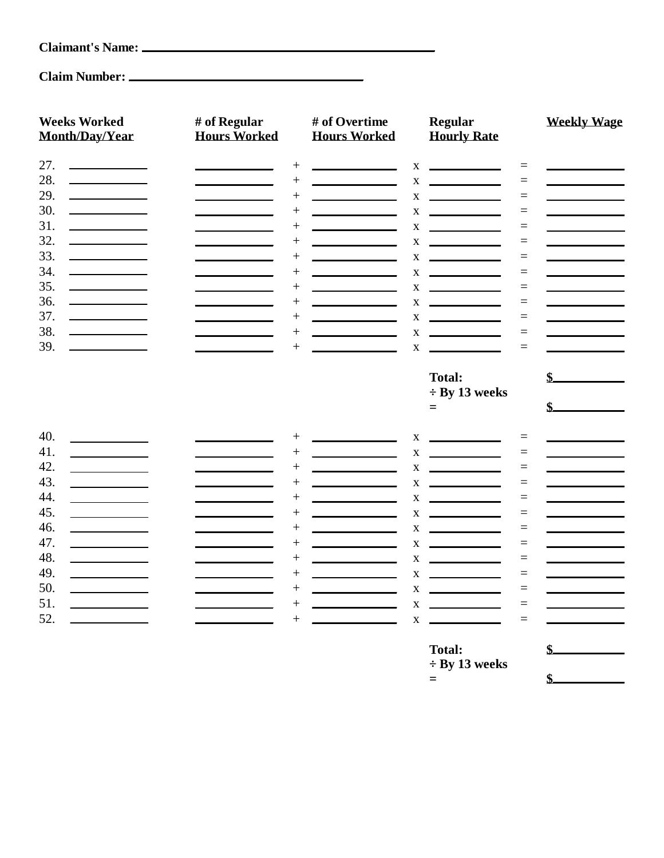# **Claimant's Name:**

## **Claim Number:**

| <b>Weeks Worked</b><br><b>Month/Day/Year</b>                                                                                                                                                                                                | # of Regular<br><b>Hours Worked</b> | # of Overtime<br><b>Hours Worked</b>                                                                                                                                                | <b>Regular</b><br><b>Hourly Rate</b>                                                                                                                                                                                                                       | <b>Weekly Wage</b> |
|---------------------------------------------------------------------------------------------------------------------------------------------------------------------------------------------------------------------------------------------|-------------------------------------|-------------------------------------------------------------------------------------------------------------------------------------------------------------------------------------|------------------------------------------------------------------------------------------------------------------------------------------------------------------------------------------------------------------------------------------------------------|--------------------|
| 27.<br><u> 1980 - Johann Barnett, fransk konge</u>                                                                                                                                                                                          |                                     | $^{+}$                                                                                                                                                                              | <u> The Communication of the Communication of the Communication of the Communication of the Communication of the Co</u><br>X<br>$\equiv$                                                                                                                   |                    |
| 28.<br><u> 1990 - John Barn Barn, amerikansk politiker</u>                                                                                                                                                                                  |                                     | $+$                                                                                                                                                                                 | $\mathbf X$<br>$=$                                                                                                                                                                                                                                         |                    |
| 29.                                                                                                                                                                                                                                         |                                     | $+$<br>$\mathcal{L}^{\mathcal{L}}(\mathcal{L}^{\mathcal{L}})$ and $\mathcal{L}^{\mathcal{L}}(\mathcal{L}^{\mathcal{L}})$ and $\mathcal{L}^{\mathcal{L}}(\mathcal{L}^{\mathcal{L}})$ | $\mathbf X$<br><u> The Community of the Community of the Community of the Community of the Community of the Community of the Community of the Community of the Community of the Community of the Community of the Community of the Community of</u><br>$=$ |                    |
| 30.                                                                                                                                                                                                                                         |                                     | $\mathcal{L}(\mathcal{L})$ and $\mathcal{L}(\mathcal{L})$ and $\mathcal{L}(\mathcal{L})$ and $\mathcal{L}(\mathcal{L})$<br>$+$                                                      | X<br>$=$                                                                                                                                                                                                                                                   |                    |
| 31.<br><u> 1980 - Johann Barn, mars an t-</u>                                                                                                                                                                                               |                                     | $\overline{+}$<br>$\mathcal{L}(\mathcal{L}^{\mathcal{L}})$ and $\mathcal{L}^{\mathcal{L}}$ are the set of the set of the set of $\mathcal{L}^{\mathcal{L}}$                         | $\mathbf X$<br>$=$                                                                                                                                                                                                                                         |                    |
| 32.<br><u> 1990 - Johann Barn, mars ann an t-</u>                                                                                                                                                                                           |                                     | $\overline{+}$                                                                                                                                                                      | $\mathbf{X}$<br><u> 1999 - John Barn Barn, amerikansk politiker</u><br>$=$                                                                                                                                                                                 |                    |
| 33.                                                                                                                                                                                                                                         |                                     | $^{+}$                                                                                                                                                                              | $\mathbf X$<br>$=$                                                                                                                                                                                                                                         |                    |
| 34.                                                                                                                                                                                                                                         |                                     | $^{+}$                                                                                                                                                                              | $\mathbf X$<br><u> Liston de la componenta</u><br>$=$                                                                                                                                                                                                      |                    |
| 35.                                                                                                                                                                                                                                         |                                     | $^{+}$                                                                                                                                                                              | $\mathbf X$<br>$=$                                                                                                                                                                                                                                         |                    |
| 36.<br><u> 1990 - Jan Barnett, politik e</u>                                                                                                                                                                                                |                                     | $^{+}$                                                                                                                                                                              | $\mathbf X$<br><u>production and the contract of the state</u><br>$=$                                                                                                                                                                                      |                    |
| 37.                                                                                                                                                                                                                                         |                                     | $^{+}$                                                                                                                                                                              | X<br>$=$                                                                                                                                                                                                                                                   |                    |
| 38.<br>39.                                                                                                                                                                                                                                  |                                     | $^{+}$                                                                                                                                                                              | $\mathbf X$<br>$=$                                                                                                                                                                                                                                         |                    |
|                                                                                                                                                                                                                                             |                                     | $^{+}$                                                                                                                                                                              | $\mathbf X$<br>$=$                                                                                                                                                                                                                                         |                    |
|                                                                                                                                                                                                                                             |                                     |                                                                                                                                                                                     | <b>Total:</b>                                                                                                                                                                                                                                              | \$.                |
|                                                                                                                                                                                                                                             |                                     |                                                                                                                                                                                     | $\div$ By 13 weeks                                                                                                                                                                                                                                         |                    |
|                                                                                                                                                                                                                                             |                                     |                                                                                                                                                                                     | $=$                                                                                                                                                                                                                                                        |                    |
|                                                                                                                                                                                                                                             |                                     |                                                                                                                                                                                     |                                                                                                                                                                                                                                                            |                    |
| 40.<br><u> 1980 - Johann Barbara, martxa a</u>                                                                                                                                                                                              |                                     | $^{+}$                                                                                                                                                                              | X<br>$=$<br><u>and the company of the company of the company of the company of the company of the company of the company of the company of the company of the company of the company of the company of the company of the company of the com</u>           |                    |
| 41.                                                                                                                                                                                                                                         |                                     | $^{+}$                                                                                                                                                                              | $\mathbf X$<br><u>and the state of the state</u><br>$=$                                                                                                                                                                                                    |                    |
| 42.<br><u> 1989 - John Stone, amerikansk politiker</u>                                                                                                                                                                                      |                                     | $^{+}$                                                                                                                                                                              | <b>Contract Contract Contract</b><br>X<br>$=$                                                                                                                                                                                                              |                    |
| 43.<br><u> 1990 - John Barn Barn, amerikansk politiker (</u>                                                                                                                                                                                |                                     | $+$                                                                                                                                                                                 | $\mathbf X$<br>$=$                                                                                                                                                                                                                                         |                    |
| 44.<br><u> The Communication of the Communication of the Communication of the Communication of the Communication of the Communication of the Communication of the Communication of the Communication of the Communication of the Commun</u> |                                     | $+$                                                                                                                                                                                 | <u> The Community of the Community of the Community of the Community of the Community of the Community of the Community of the Community of the Community of the Community of the Community of the Community of the Community of</u><br>$\mathbf X$<br>$=$ |                    |
| 45.                                                                                                                                                                                                                                         |                                     | $^{+}$                                                                                                                                                                              | $\mathbf X$<br>and the control of the control of<br>$=$                                                                                                                                                                                                    |                    |
| 46.                                                                                                                                                                                                                                         |                                     | $\overline{+}$                                                                                                                                                                      | $\mathbf X$<br>$=$                                                                                                                                                                                                                                         |                    |
| 47.                                                                                                                                                                                                                                         |                                     | $^{+}$                                                                                                                                                                              | <u>and the state of the state</u><br>$\mathbf{X}$<br>$=$                                                                                                                                                                                                   |                    |
| 48.                                                                                                                                                                                                                                         |                                     | $^{+}$                                                                                                                                                                              | $\mathbf X$<br>$=$                                                                                                                                                                                                                                         |                    |
| 49.                                                                                                                                                                                                                                         |                                     | $^{+}$                                                                                                                                                                              | $=$<br>$\mathbf X$                                                                                                                                                                                                                                         |                    |
| 50.                                                                                                                                                                                                                                         |                                     | $^{+}$                                                                                                                                                                              | $\mathbf X$<br>$=$                                                                                                                                                                                                                                         |                    |
| 51.                                                                                                                                                                                                                                         |                                     | $^{+}$                                                                                                                                                                              | $\mathbf X$<br>$=$                                                                                                                                                                                                                                         |                    |
| 52.                                                                                                                                                                                                                                         |                                     | $^{+}$                                                                                                                                                                              | $\mathbf X$<br>$=$                                                                                                                                                                                                                                         |                    |
|                                                                                                                                                                                                                                             |                                     |                                                                                                                                                                                     |                                                                                                                                                                                                                                                            |                    |
|                                                                                                                                                                                                                                             |                                     |                                                                                                                                                                                     | Total:                                                                                                                                                                                                                                                     | \$.                |

**÷ By 13 weeks**  $=$   $\frac{1}{2}$   $\frac{1}{2}$   $\frac{1}{2}$   $\frac{1}{2}$   $\frac{1}{2}$   $\frac{1}{2}$   $\frac{1}{2}$   $\frac{1}{2}$   $\frac{1}{2}$   $\frac{1}{2}$   $\frac{1}{2}$   $\frac{1}{2}$   $\frac{1}{2}$   $\frac{1}{2}$   $\frac{1}{2}$   $\frac{1}{2}$   $\frac{1}{2}$   $\frac{1}{2}$   $\frac{1}{2}$   $\frac{1}{2}$   $\frac{1}{2}$   $\frac{1}{2$ 

L